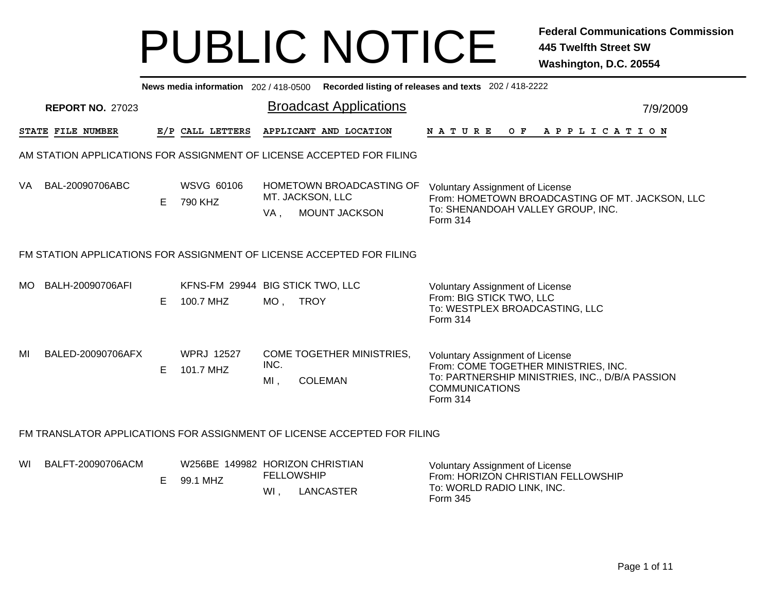|     | News media information 202 / 418-0500 Recorded listing of releases and texts 202 / 418-2222 |    |                                               |                          |                                                                          |                                                                                                                                                                        |          |  |  |  |  |  |
|-----|---------------------------------------------------------------------------------------------|----|-----------------------------------------------|--------------------------|--------------------------------------------------------------------------|------------------------------------------------------------------------------------------------------------------------------------------------------------------------|----------|--|--|--|--|--|
|     | <b>REPORT NO. 27023</b>                                                                     |    |                                               |                          | <b>Broadcast Applications</b>                                            |                                                                                                                                                                        | 7/9/2009 |  |  |  |  |  |
|     | STATE FILE NUMBER                                                                           |    | E/P CALL LETTERS                              |                          | APPLICANT AND LOCATION                                                   | OF APPLICATION<br>N A T U R E                                                                                                                                          |          |  |  |  |  |  |
|     |                                                                                             |    |                                               |                          | AM STATION APPLICATIONS FOR ASSIGNMENT OF LICENSE ACCEPTED FOR FILING    |                                                                                                                                                                        |          |  |  |  |  |  |
| VA. | BAL-20090706ABC                                                                             | E. | <b>WSVG 60106</b><br>790 KHZ                  | MT. JACKSON, LLC<br>VA,  | HOMETOWN BROADCASTING OF<br>MOUNT JACKSON                                | Voluntary Assignment of License<br>From: HOMETOWN BROADCASTING OF MT. JACKSON, LLC<br>To: SHENANDOAH VALLEY GROUP, INC.<br>Form 314                                    |          |  |  |  |  |  |
|     |                                                                                             |    |                                               |                          | FM STATION APPLICATIONS FOR ASSIGNMENT OF LICENSE ACCEPTED FOR FILING    |                                                                                                                                                                        |          |  |  |  |  |  |
| MO. | BALH-20090706AFI                                                                            | Е  | KFNS-FM 29944 BIG STICK TWO, LLC<br>100.7 MHZ | MO ,                     | <b>TROY</b>                                                              | <b>Voluntary Assignment of License</b><br>From: BIG STICK TWO, LLC<br>To: WESTPLEX BROADCASTING, LLC<br>Form 314                                                       |          |  |  |  |  |  |
| MI  | BALED-20090706AFX                                                                           | E  | <b>WPRJ 12527</b><br>101.7 MHZ                | INC.<br>MI,              | COME TOGETHER MINISTRIES,<br><b>COLEMAN</b>                              | <b>Voluntary Assignment of License</b><br>From: COME TOGETHER MINISTRIES, INC.<br>To: PARTNERSHIP MINISTRIES, INC., D/B/A PASSION<br><b>COMMUNICATIONS</b><br>Form 314 |          |  |  |  |  |  |
|     |                                                                                             |    |                                               |                          | FM TRANSLATOR APPLICATIONS FOR ASSIGNMENT OF LICENSE ACCEPTED FOR FILING |                                                                                                                                                                        |          |  |  |  |  |  |
| WI  | BALFT-20090706ACM                                                                           | Е  | W256BE 149982 HORIZON CHRISTIAN<br>99.1 MHZ   | <b>FELLOWSHIP</b><br>WI. | LANCASTER                                                                | <b>Voluntary Assignment of License</b><br>From: HORIZON CHRISTIAN FELLOWSHIP<br>To: WORLD RADIO LINK, INC.                                                             |          |  |  |  |  |  |

Form 345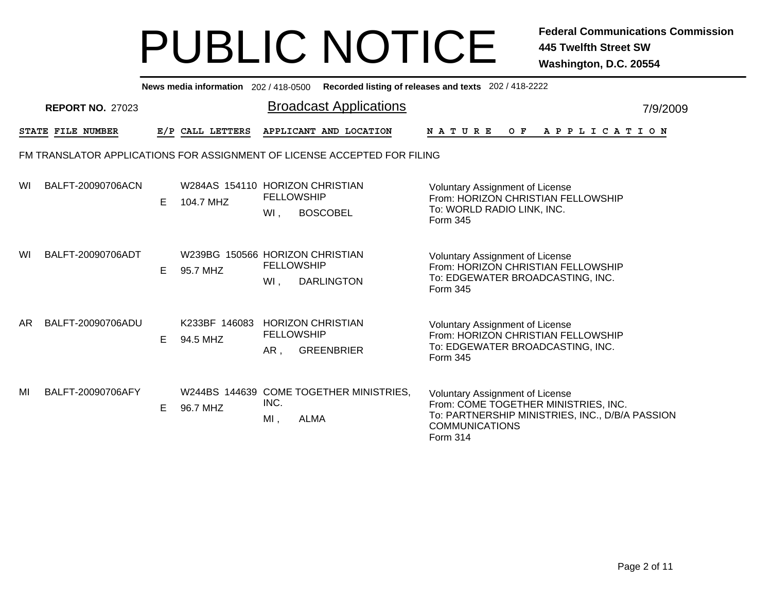|     | <b>News media information</b> 202/418-0500 Recorded listing of releases and texts 202/418-2222 |    |                                              |                          |                                                                          |                                                                                                                                                                        |  |  |  |  |  |
|-----|------------------------------------------------------------------------------------------------|----|----------------------------------------------|--------------------------|--------------------------------------------------------------------------|------------------------------------------------------------------------------------------------------------------------------------------------------------------------|--|--|--|--|--|
|     | <b>REPORT NO. 27023</b>                                                                        |    |                                              |                          | <b>Broadcast Applications</b>                                            | 7/9/2009                                                                                                                                                               |  |  |  |  |  |
|     | STATE FILE NUMBER                                                                              |    | E/P CALL LETTERS                             |                          | APPLICANT AND LOCATION                                                   | <b>NATURE</b><br>O F<br>A P P L I C A T I O N                                                                                                                          |  |  |  |  |  |
|     |                                                                                                |    |                                              |                          | FM TRANSLATOR APPLICATIONS FOR ASSIGNMENT OF LICENSE ACCEPTED FOR FILING |                                                                                                                                                                        |  |  |  |  |  |
| WI  | BALFT-20090706ACN                                                                              | E. | W284AS 154110 HORIZON CHRISTIAN<br>104.7 MHZ | <b>FELLOWSHIP</b><br>WI, | <b>BOSCOBEL</b>                                                          | <b>Voluntary Assignment of License</b><br>From: HORIZON CHRISTIAN FELLOWSHIP<br>To: WORLD RADIO LINK, INC.<br>Form 345                                                 |  |  |  |  |  |
| WI  | BALFT-20090706ADT                                                                              | E. | W239BG 150566 HORIZON CHRISTIAN<br>95.7 MHZ  | <b>FELLOWSHIP</b><br>WI, | <b>DARLINGTON</b>                                                        | <b>Voluntary Assignment of License</b><br>From: HORIZON CHRISTIAN FELLOWSHIP<br>To: EDGEWATER BROADCASTING, INC.<br>Form 345                                           |  |  |  |  |  |
| AR. | BALFT-20090706ADU                                                                              | E. | K233BF 146083<br>94.5 MHZ                    | <b>FELLOWSHIP</b><br>AR, | <b>HORIZON CHRISTIAN</b><br><b>GREENBRIER</b>                            | <b>Voluntary Assignment of License</b><br>From: HORIZON CHRISTIAN FELLOWSHIP<br>To: EDGEWATER BROADCASTING, INC.<br>Form 345                                           |  |  |  |  |  |
| MI  | BALFT-20090706AFY                                                                              | E. | 96.7 MHZ                                     | INC.<br>$MI$ ,           | W244BS 144639 COME TOGETHER MINISTRIES,<br><b>ALMA</b>                   | <b>Voluntary Assignment of License</b><br>From: COME TOGETHER MINISTRIES, INC.<br>To: PARTNERSHIP MINISTRIES, INC., D/B/A PASSION<br><b>COMMUNICATIONS</b><br>Form 314 |  |  |  |  |  |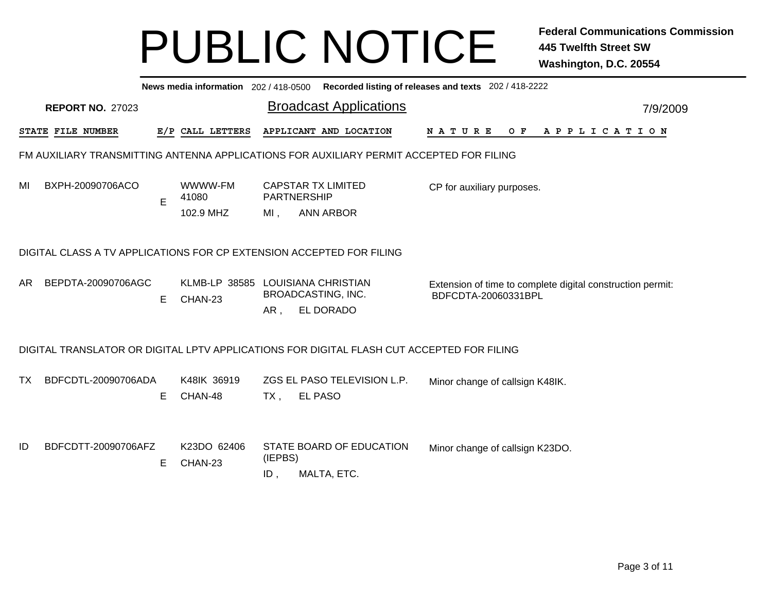|     | News media information 202 / 418-0500<br>Recorded listing of releases and texts 202 / 418-2222 |   |                                              |                |                                                                                           |                                                                                   |          |  |  |  |  |  |
|-----|------------------------------------------------------------------------------------------------|---|----------------------------------------------|----------------|-------------------------------------------------------------------------------------------|-----------------------------------------------------------------------------------|----------|--|--|--|--|--|
|     | <b>REPORT NO. 27023</b>                                                                        |   |                                              |                | <b>Broadcast Applications</b>                                                             |                                                                                   | 7/9/2009 |  |  |  |  |  |
|     | STATE FILE NUMBER                                                                              |   | E/P CALL LETTERS                             |                | APPLICANT AND LOCATION                                                                    | <b>NATURE</b><br>O F<br>A P P L I C A T I O N                                     |          |  |  |  |  |  |
|     |                                                                                                |   |                                              |                | FM AUXILIARY TRANSMITTING ANTENNA APPLICATIONS FOR AUXILIARY PERMIT ACCEPTED FOR FILING   |                                                                                   |          |  |  |  |  |  |
| MI  | BXPH-20090706ACO                                                                               | E | WWWW-FM<br>41080<br>102.9 MHZ                | MI,            | <b>CAPSTAR TX LIMITED</b><br>PARTNERSHIP<br><b>ANN ARBOR</b>                              | CP for auxiliary purposes.                                                        |          |  |  |  |  |  |
|     | DIGITAL CLASS A TV APPLICATIONS FOR CP EXTENSION ACCEPTED FOR FILING                           |   |                                              |                |                                                                                           |                                                                                   |          |  |  |  |  |  |
| AR. | BEPDTA-20090706AGC                                                                             | E | KLMB-LP 38585 LOUISIANA CHRISTIAN<br>CHAN-23 | AR,            | <b>BROADCASTING, INC.</b><br>EL DORADO                                                    | Extension of time to complete digital construction permit:<br>BDFCDTA-20060331BPL |          |  |  |  |  |  |
|     |                                                                                                |   |                                              |                | DIGITAL TRANSLATOR OR DIGITAL LPTV APPLICATIONS FOR DIGITAL FLASH CUT ACCEPTED FOR FILING |                                                                                   |          |  |  |  |  |  |
| TX. | BDFCDTL-20090706ADA                                                                            | Е | K48IK 36919<br>CHAN-48                       | $TX$ ,         | ZGS EL PASO TELEVISION L.P.<br><b>EL PASO</b>                                             | Minor change of callsign K48IK.                                                   |          |  |  |  |  |  |
| ID  | BDFCDTT-20090706AFZ                                                                            | Е | K23DO 62406<br>CHAN-23                       | (IEPBS)<br>ID, | STATE BOARD OF EDUCATION<br>MALTA, ETC.                                                   | Minor change of callsign K23DO.                                                   |          |  |  |  |  |  |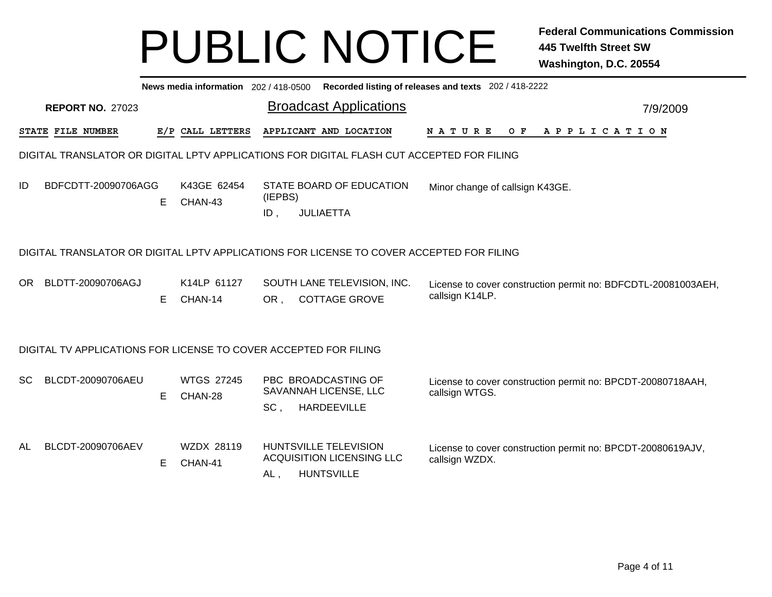|           | News media information 202/418-0500 Recorded listing of releases and texts 202/418-2222 |    |                              |                   |                                                                                           |                                                                                  |          |  |  |  |  |
|-----------|-----------------------------------------------------------------------------------------|----|------------------------------|-------------------|-------------------------------------------------------------------------------------------|----------------------------------------------------------------------------------|----------|--|--|--|--|
|           | <b>REPORT NO. 27023</b>                                                                 |    |                              |                   | <b>Broadcast Applications</b>                                                             |                                                                                  | 7/9/2009 |  |  |  |  |
|           | STATE FILE NUMBER                                                                       |    | E/P CALL LETTERS             |                   | APPLICANT AND LOCATION                                                                    | APPLICATION<br><b>NATURE</b><br>O F                                              |          |  |  |  |  |
|           |                                                                                         |    |                              |                   | DIGITAL TRANSLATOR OR DIGITAL LPTV APPLICATIONS FOR DIGITAL FLASH CUT ACCEPTED FOR FILING |                                                                                  |          |  |  |  |  |
| ID        | BDFCDTT-20090706AGG                                                                     | E. | K43GE 62454<br>CHAN-43       | (IEPBS)<br>$ID$ , | STATE BOARD OF EDUCATION<br><b>JULIAETTA</b>                                              | Minor change of callsign K43GE.                                                  |          |  |  |  |  |
|           |                                                                                         |    |                              |                   | DIGITAL TRANSLATOR OR DIGITAL LPTV APPLICATIONS FOR LICENSE TO COVER ACCEPTED FOR FILING  |                                                                                  |          |  |  |  |  |
| <b>OR</b> | BLDTT-20090706AGJ                                                                       | E. | K14LP 61127<br>CHAN-14       | OR,               | SOUTH LANE TELEVISION, INC.<br><b>COTTAGE GROVE</b>                                       | License to cover construction permit no: BDFCDTL-20081003AEH,<br>callsign K14LP. |          |  |  |  |  |
|           | DIGITAL TV APPLICATIONS FOR LICENSE TO COVER ACCEPTED FOR FILING                        |    |                              |                   |                                                                                           |                                                                                  |          |  |  |  |  |
| <b>SC</b> | BLCDT-20090706AEU                                                                       | E. | <b>WTGS 27245</b><br>CHAN-28 | SC,               | PBC BROADCASTING OF<br>SAVANNAH LICENSE, LLC<br><b>HARDEEVILLE</b>                        | License to cover construction permit no: BPCDT-20080718AAH,<br>callsign WTGS.    |          |  |  |  |  |
| AL        | BLCDT-20090706AEV                                                                       | E. | WZDX 28119<br>CHAN-41        | AL,               | <b>HUNTSVILLE TELEVISION</b><br><b>ACQUISITION LICENSING LLC</b><br><b>HUNTSVILLE</b>     | License to cover construction permit no: BPCDT-20080619AJV,<br>callsign WZDX.    |          |  |  |  |  |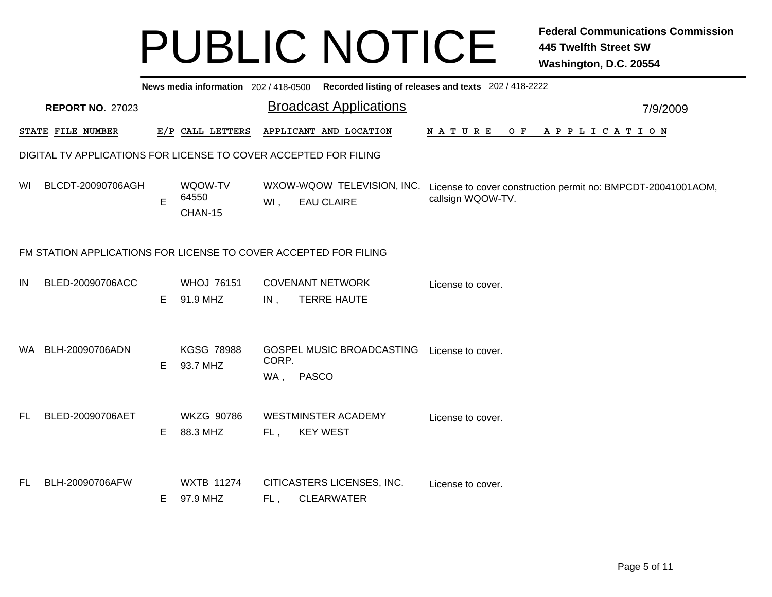|     | News media information 202/418-0500 Recorded listing of releases and texts 202/418-2222 |   |                               |              |                                                 |                                                                                                              |          |  |  |  |  |
|-----|-----------------------------------------------------------------------------------------|---|-------------------------------|--------------|-------------------------------------------------|--------------------------------------------------------------------------------------------------------------|----------|--|--|--|--|
|     | <b>REPORT NO. 27023</b>                                                                 |   |                               |              | <b>Broadcast Applications</b>                   |                                                                                                              | 7/9/2009 |  |  |  |  |
|     | STATE FILE NUMBER                                                                       |   | E/P CALL LETTERS              |              | APPLICANT AND LOCATION                          | <b>NATURE</b><br>OF APPLICATION                                                                              |          |  |  |  |  |
|     | DIGITAL TV APPLICATIONS FOR LICENSE TO COVER ACCEPTED FOR FILING                        |   |                               |              |                                                 |                                                                                                              |          |  |  |  |  |
| WI. | BLCDT-20090706AGH                                                                       | E | WQOW-TV<br>64550<br>CHAN-15   | Wl,          | <b>EAU CLAIRE</b>                               | WXOW-WQOW TELEVISION, INC. License to cover construction permit no: BMPCDT-20041001AOM,<br>callsign WQOW-TV. |          |  |  |  |  |
|     | FM STATION APPLICATIONS FOR LICENSE TO COVER ACCEPTED FOR FILING                        |   |                               |              |                                                 |                                                                                                              |          |  |  |  |  |
| IN  | BLED-20090706ACC                                                                        | Е | <b>WHOJ 76151</b><br>91.9 MHZ | IN,          | <b>COVENANT NETWORK</b><br><b>TERRE HAUTE</b>   | License to cover.                                                                                            |          |  |  |  |  |
| WA. | BLH-20090706ADN                                                                         | E | <b>KGSG 78988</b><br>93.7 MHZ | CORP.<br>WA, | GOSPEL MUSIC BROADCASTING<br><b>PASCO</b>       | License to cover.                                                                                            |          |  |  |  |  |
| FL. | BLED-20090706AET                                                                        | Е | <b>WKZG 90786</b><br>88.3 MHZ | FL,          | <b>WESTMINSTER ACADEMY</b><br><b>KEY WEST</b>   | License to cover.                                                                                            |          |  |  |  |  |
| FL. | BLH-20090706AFW                                                                         | Е | <b>WXTB 11274</b><br>97.9 MHZ | FL,          | CITICASTERS LICENSES, INC.<br><b>CLEARWATER</b> | License to cover.                                                                                            |          |  |  |  |  |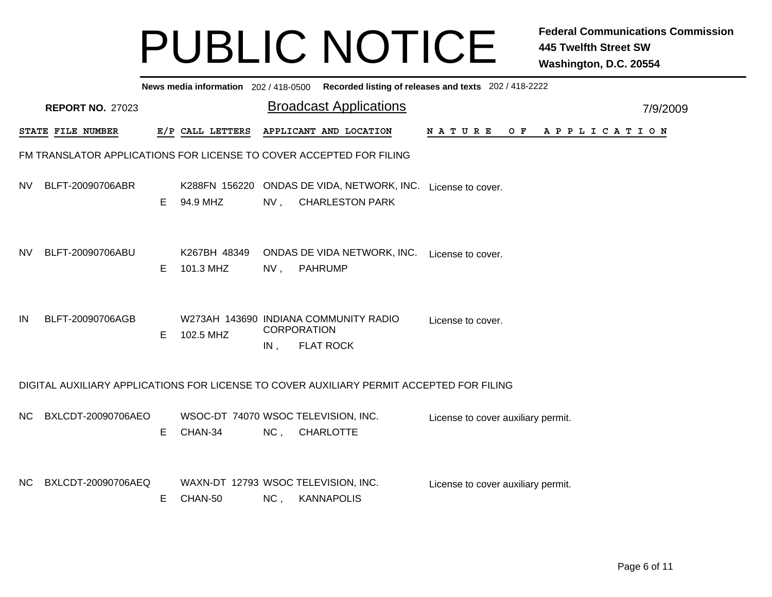|      | News media information 202/418-0500 Recorded listing of releases and texts 202/418-2222  |    |                                                |                           |  |                                                                                     |                                    |  |  |  |  |  |     |  |  |                       |  |  |
|------|------------------------------------------------------------------------------------------|----|------------------------------------------------|---------------------------|--|-------------------------------------------------------------------------------------|------------------------------------|--|--|--|--|--|-----|--|--|-----------------------|--|--|
|      | <b>Broadcast Applications</b><br><b>REPORT NO. 27023</b><br>7/9/2009                     |    |                                                |                           |  |                                                                                     |                                    |  |  |  |  |  |     |  |  |                       |  |  |
|      | <b>STATE FILE NUMBER</b>                                                                 |    | E/P CALL LETTERS                               |                           |  | APPLICANT AND LOCATION                                                              | N A T U R E                        |  |  |  |  |  | O F |  |  | A P P L I C A T I O N |  |  |
|      | FM TRANSLATOR APPLICATIONS FOR LICENSE TO COVER ACCEPTED FOR FILING                      |    |                                                |                           |  |                                                                                     |                                    |  |  |  |  |  |     |  |  |                       |  |  |
| NV   | BLFT-20090706ABR                                                                         | E. | 94.9 MHZ                                       |                           |  | K288FN 156220 ONDAS DE VIDA, NETWORK, INC. License to cover.<br>NV, CHARLESTON PARK |                                    |  |  |  |  |  |     |  |  |                       |  |  |
| NV   | BLFT-20090706ABU                                                                         | Е  | K267BH 48349<br>101.3 MHZ                      | NV,                       |  | ONDAS DE VIDA NETWORK, INC. License to cover.<br>PAHRUMP                            |                                    |  |  |  |  |  |     |  |  |                       |  |  |
| ΙN   | BLFT-20090706AGB                                                                         | E. | 102.5 MHZ                                      | <b>CORPORATION</b><br>IN, |  | W273AH 143690 INDIANA COMMUNITY RADIO<br><b>FLAT ROCK</b>                           | License to cover.                  |  |  |  |  |  |     |  |  |                       |  |  |
|      | DIGITAL AUXILIARY APPLICATIONS FOR LICENSE TO COVER AUXILIARY PERMIT ACCEPTED FOR FILING |    |                                                |                           |  |                                                                                     |                                    |  |  |  |  |  |     |  |  |                       |  |  |
| NC . | BXLCDT-20090706AEO                                                                       | E. | WSOC-DT 74070 WSOC TELEVISION, INC.<br>CHAN-34 | $NC$ ,                    |  | <b>CHARLOTTE</b>                                                                    | License to cover auxiliary permit. |  |  |  |  |  |     |  |  |                       |  |  |
| NC . | BXLCDT-20090706AEQ                                                                       | Е  | WAXN-DT 12793 WSOC TELEVISION, INC.<br>CHAN-50 | $NC$ ,                    |  | <b>KANNAPOLIS</b>                                                                   | License to cover auxiliary permit. |  |  |  |  |  |     |  |  |                       |  |  |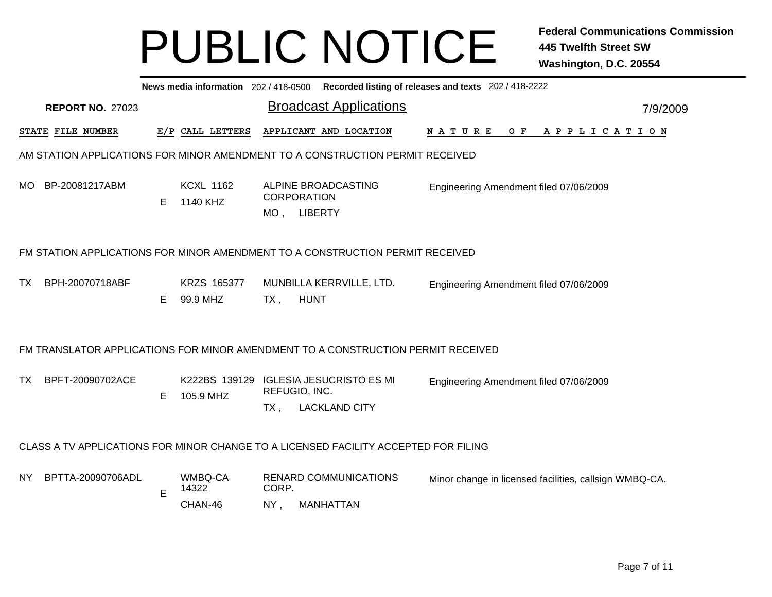|     | News media information 202/418-0500 Recorded listing of releases and texts 202/418-2222 |    |                              |        |                                                                                     |                                                        |  |                |  |  |  |  |  |          |
|-----|-----------------------------------------------------------------------------------------|----|------------------------------|--------|-------------------------------------------------------------------------------------|--------------------------------------------------------|--|----------------|--|--|--|--|--|----------|
|     | <b>REPORT NO. 27023</b>                                                                 |    |                              |        | <b>Broadcast Applications</b>                                                       |                                                        |  |                |  |  |  |  |  | 7/9/2009 |
|     | <b>STATE FILE NUMBER</b>                                                                |    | E/P CALL LETTERS             |        | APPLICANT AND LOCATION                                                              | <b>NATURE</b>                                          |  | OF APPLICATION |  |  |  |  |  |          |
|     |                                                                                         |    |                              |        | AM STATION APPLICATIONS FOR MINOR AMENDMENT TO A CONSTRUCTION PERMIT RECEIVED       |                                                        |  |                |  |  |  |  |  |          |
|     | MO BP-20081217ABM                                                                       | E  | <b>KCXL 1162</b><br>1140 KHZ |        | ALPINE BROADCASTING<br><b>CORPORATION</b><br>MO, LIBERTY                            | Engineering Amendment filed 07/06/2009                 |  |                |  |  |  |  |  |          |
|     |                                                                                         |    |                              |        | FM STATION APPLICATIONS FOR MINOR AMENDMENT TO A CONSTRUCTION PERMIT RECEIVED       |                                                        |  |                |  |  |  |  |  |          |
| ТX  | BPH-20070718ABF                                                                         | E. | KRZS 165377<br>99.9 MHZ      | $TX$ , | MUNBILLA KERRVILLE, LTD.<br><b>HUNT</b>                                             | Engineering Amendment filed 07/06/2009                 |  |                |  |  |  |  |  |          |
|     |                                                                                         |    |                              |        | FM TRANSLATOR APPLICATIONS FOR MINOR AMENDMENT TO A CONSTRUCTION PERMIT RECEIVED    |                                                        |  |                |  |  |  |  |  |          |
| TX  | BPFT-20090702ACE                                                                        | Е  | 105.9 MHZ                    | $TX$ , | K222BS 139129 IGLESIA JESUCRISTO ES MI<br>REFUGIO, INC.<br><b>LACKLAND CITY</b>     | Engineering Amendment filed 07/06/2009                 |  |                |  |  |  |  |  |          |
|     |                                                                                         |    |                              |        | CLASS A TV APPLICATIONS FOR MINOR CHANGE TO A LICENSED FACILITY ACCEPTED FOR FILING |                                                        |  |                |  |  |  |  |  |          |
| NY. | BPTTA-20090706ADL                                                                       | Е  | WMBQ-CA<br>14322             | CORP.  | <b>RENARD COMMUNICATIONS</b>                                                        | Minor change in licensed facilities, callsign WMBQ-CA. |  |                |  |  |  |  |  |          |
|     |                                                                                         |    | CHAN-46                      | NY,    | MANHATTAN                                                                           |                                                        |  |                |  |  |  |  |  |          |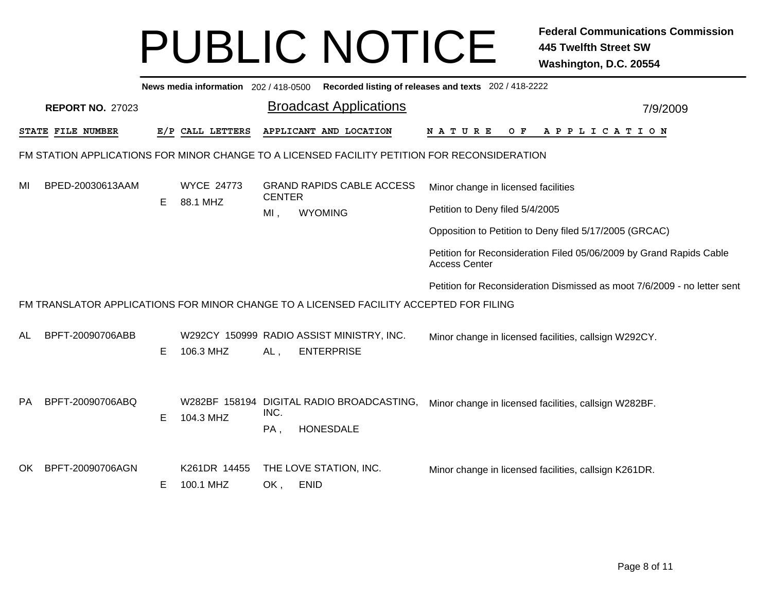|    | News media information 202 / 418-0500 Recorded listing of releases and texts 202 / 418-2222 |    |                           |               |                                                                                              |                                                                                             |  |  |  |  |  |  |
|----|---------------------------------------------------------------------------------------------|----|---------------------------|---------------|----------------------------------------------------------------------------------------------|---------------------------------------------------------------------------------------------|--|--|--|--|--|--|
|    | <b>REPORT NO. 27023</b>                                                                     |    |                           |               | <b>Broadcast Applications</b>                                                                | 7/9/2009                                                                                    |  |  |  |  |  |  |
|    | STATE FILE NUMBER                                                                           |    | E/P CALL LETTERS          |               | APPLICANT AND LOCATION                                                                       | NATURE<br>O F<br>A P P L I C A T I O N                                                      |  |  |  |  |  |  |
|    |                                                                                             |    |                           |               | FM STATION APPLICATIONS FOR MINOR CHANGE TO A LICENSED FACILITY PETITION FOR RECONSIDERATION |                                                                                             |  |  |  |  |  |  |
| MI | BPED-20030613AAM                                                                            |    | <b>WYCE 24773</b>         | <b>CENTER</b> | <b>GRAND RAPIDS CABLE ACCESS</b>                                                             | Minor change in licensed facilities                                                         |  |  |  |  |  |  |
|    |                                                                                             | E. | 88.1 MHZ                  | MI,           | <b>WYOMING</b>                                                                               | Petition to Deny filed 5/4/2005                                                             |  |  |  |  |  |  |
|    |                                                                                             |    |                           |               |                                                                                              | Opposition to Petition to Deny filed 5/17/2005 (GRCAC)                                      |  |  |  |  |  |  |
|    |                                                                                             |    |                           |               |                                                                                              | Petition for Reconsideration Filed 05/06/2009 by Grand Rapids Cable<br><b>Access Center</b> |  |  |  |  |  |  |
|    |                                                                                             |    |                           |               |                                                                                              | Petition for Reconsideration Dismissed as moot 7/6/2009 - no letter sent                    |  |  |  |  |  |  |
|    |                                                                                             |    |                           |               | FM TRANSLATOR APPLICATIONS FOR MINOR CHANGE TO A LICENSED FACILITY ACCEPTED FOR FILING       |                                                                                             |  |  |  |  |  |  |
| AL | BPFT-20090706ABB                                                                            | E. | 106.3 MHZ                 | AL,           | W292CY 150999 RADIO ASSIST MINISTRY, INC.<br><b>ENTERPRISE</b>                               | Minor change in licensed facilities, callsign W292CY.                                       |  |  |  |  |  |  |
| PA | BPFT-20090706ABQ                                                                            | E. | 104.3 MHZ                 | INC.<br>PA,   | W282BF 158194 DIGITAL RADIO BROADCASTING,<br><b>HONESDALE</b>                                | Minor change in licensed facilities, callsign W282BF.                                       |  |  |  |  |  |  |
| OK | BPFT-20090706AGN                                                                            | E. | K261DR 14455<br>100.1 MHZ | OK,           | THE LOVE STATION, INC.<br><b>ENID</b>                                                        | Minor change in licensed facilities, callsign K261DR.                                       |  |  |  |  |  |  |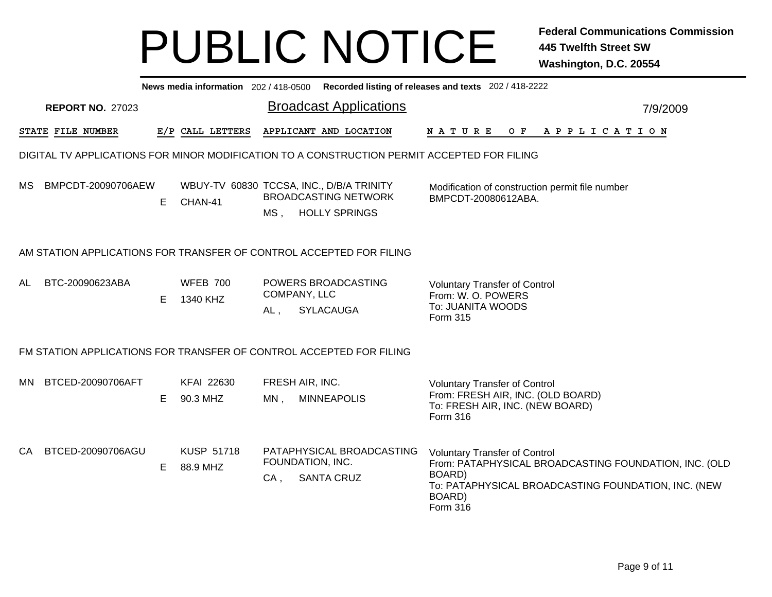|    |                                                                                             |    |                                                     |                           | News media information 202/418-0500 Recorded listing of releases and texts 202/418-2222 |                              |                                         |                                                                                                              |  |  |  |                                                                                                              |
|----|---------------------------------------------------------------------------------------------|----|-----------------------------------------------------|---------------------------|-----------------------------------------------------------------------------------------|------------------------------|-----------------------------------------|--------------------------------------------------------------------------------------------------------------|--|--|--|--------------------------------------------------------------------------------------------------------------|
|    | <b>REPORT NO. 27023</b>                                                                     |    |                                                     |                           | <b>Broadcast Applications</b>                                                           |                              |                                         |                                                                                                              |  |  |  | 7/9/2009                                                                                                     |
|    | STATE FILE NUMBER                                                                           |    | E/P CALL LETTERS                                    |                           | APPLICANT AND LOCATION                                                                  | N A T U R E                  |                                         | OF APPLICATION                                                                                               |  |  |  |                                                                                                              |
|    | DIGITAL TV APPLICATIONS FOR MINOR MODIFICATION TO A CONSTRUCTION PERMIT ACCEPTED FOR FILING |    |                                                     |                           |                                                                                         |                              |                                         |                                                                                                              |  |  |  |                                                                                                              |
|    | MS BMPCDT-20090706AEW                                                                       | E. | WBUY-TV 60830 TCCSA, INC., D/B/A TRINITY<br>CHAN-41 | MS ,                      | <b>BROADCASTING NETWORK</b><br><b>HOLLY SPRINGS</b>                                     |                              |                                         | Modification of construction permit file number<br>BMPCDT-20080612ABA.                                       |  |  |  |                                                                                                              |
|    | AM STATION APPLICATIONS FOR TRANSFER OF CONTROL ACCEPTED FOR FILING                         |    |                                                     |                           |                                                                                         |                              |                                         |                                                                                                              |  |  |  |                                                                                                              |
| AL | BTC-20090623ABA                                                                             | E. | <b>WFEB 700</b><br>1340 KHZ                         | COMPANY, LLC<br>AL,       | POWERS BROADCASTING<br><b>SYLACAUGA</b>                                                 | Form 315                     | From: W. O. POWERS<br>To: JUANITA WOODS | <b>Voluntary Transfer of Control</b>                                                                         |  |  |  |                                                                                                              |
|    | FM STATION APPLICATIONS FOR TRANSFER OF CONTROL ACCEPTED FOR FILING                         |    |                                                     |                           |                                                                                         |                              |                                         |                                                                                                              |  |  |  |                                                                                                              |
|    | MN BTCED-20090706AFT                                                                        | E. | <b>KFAI 22630</b><br>90.3 MHZ                       | FRESH AIR, INC.<br>$MN$ , | <b>MINNEAPOLIS</b>                                                                      | <b>Form 316</b>              |                                         | <b>Voluntary Transfer of Control</b><br>From: FRESH AIR, INC. (OLD BOARD)<br>To: FRESH AIR, INC. (NEW BOARD) |  |  |  |                                                                                                              |
| CA | BTCED-20090706AGU                                                                           | E. | <b>KUSP 51718</b><br>88.9 MHZ                       | FOUNDATION, INC.<br>CA,   | PATAPHYSICAL BROADCASTING<br><b>SANTA CRUZ</b>                                          | BOARD)<br>BOARD)<br>Form 316 |                                         | <b>Voluntary Transfer of Control</b>                                                                         |  |  |  | From: PATAPHYSICAL BROADCASTING FOUNDATION, INC. (OLD<br>To: PATAPHYSICAL BROADCASTING FOUNDATION, INC. (NEW |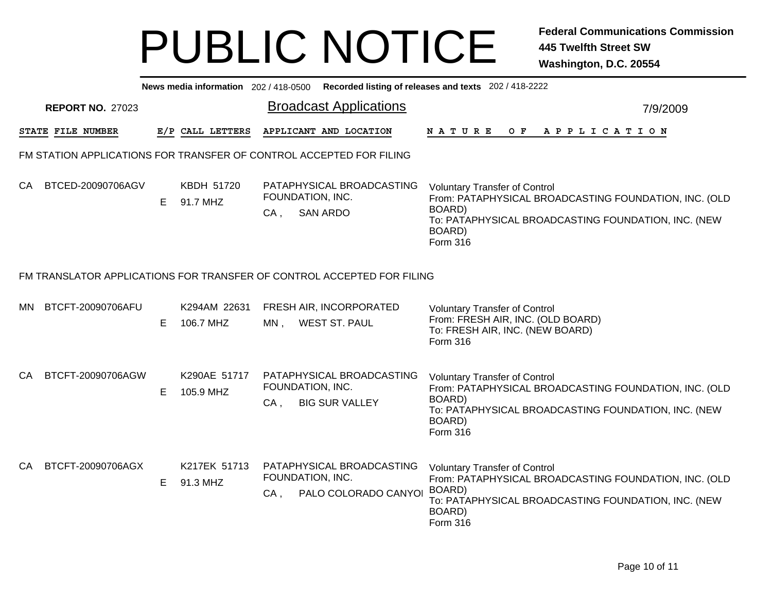|     | News media information 202 / 418-0500 Recorded listing of releases and texts 202 / 418-2222 |    |                           |                                                                                  |                                                                                                                                                                                      |  |  |  |  |  |  |  |
|-----|---------------------------------------------------------------------------------------------|----|---------------------------|----------------------------------------------------------------------------------|--------------------------------------------------------------------------------------------------------------------------------------------------------------------------------------|--|--|--|--|--|--|--|
|     | <b>REPORT NO. 27023</b>                                                                     |    |                           | <b>Broadcast Applications</b>                                                    | 7/9/2009                                                                                                                                                                             |  |  |  |  |  |  |  |
|     | STATE FILE NUMBER                                                                           |    | E/P CALL LETTERS          | APPLICANT AND LOCATION                                                           | NATURE<br>O F<br>APPLICATION                                                                                                                                                         |  |  |  |  |  |  |  |
|     |                                                                                             |    |                           | FM STATION APPLICATIONS FOR TRANSFER OF CONTROL ACCEPTED FOR FILING              |                                                                                                                                                                                      |  |  |  |  |  |  |  |
| CA. | BTCED-20090706AGV                                                                           | E. | KBDH 51720<br>91.7 MHZ    | PATAPHYSICAL BROADCASTING<br>FOUNDATION, INC.<br><b>SAN ARDO</b><br>CA,          | <b>Voluntary Transfer of Control</b><br>From: PATAPHYSICAL BROADCASTING FOUNDATION, INC. (OLD<br>BOARD)<br>To: PATAPHYSICAL BROADCASTING FOUNDATION, INC. (NEW<br>BOARD)<br>Form 316 |  |  |  |  |  |  |  |
|     |                                                                                             |    |                           | FM TRANSLATOR APPLICATIONS FOR TRANSFER OF CONTROL ACCEPTED FOR FILING           |                                                                                                                                                                                      |  |  |  |  |  |  |  |
| ΜN  | BTCFT-20090706AFU                                                                           | E. | K294AM 22631<br>106.7 MHZ | FRESH AIR, INCORPORATED<br><b>WEST ST. PAUL</b><br>$MN$ ,                        | <b>Voluntary Transfer of Control</b><br>From: FRESH AIR, INC. (OLD BOARD)<br>To: FRESH AIR, INC. (NEW BOARD)<br>Form 316                                                             |  |  |  |  |  |  |  |
| CA. | BTCFT-20090706AGW                                                                           | E. | K290AE 51717<br>105.9 MHZ | PATAPHYSICAL BROADCASTING<br>FOUNDATION, INC.<br>$CA$ .<br><b>BIG SUR VALLEY</b> | <b>Voluntary Transfer of Control</b><br>From: PATAPHYSICAL BROADCASTING FOUNDATION, INC. (OLD<br>BOARD)<br>To: PATAPHYSICAL BROADCASTING FOUNDATION, INC. (NEW<br>BOARD)<br>Form 316 |  |  |  |  |  |  |  |
| CA. | BTCFT-20090706AGX                                                                           | E. | K217EK 51713<br>91.3 MHZ  | PATAPHYSICAL BROADCASTING<br>FOUNDATION, INC.<br>PALO COLORADO CANYOI<br>$CA$ ,  | <b>Voluntary Transfer of Control</b><br>From: PATAPHYSICAL BROADCASTING FOUNDATION, INC. (OLD<br>BOARD)<br>To: PATAPHYSICAL BROADCASTING FOUNDATION, INC. (NEW<br>BOARD)<br>Form 316 |  |  |  |  |  |  |  |